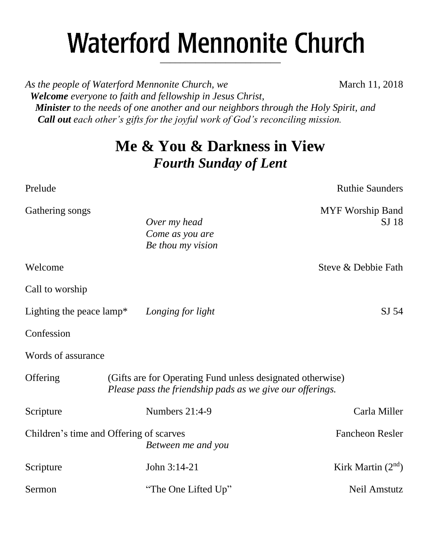# **Waterford Mennonite Church** \_\_\_\_\_\_\_\_\_\_\_\_\_\_\_\_\_\_\_\_\_\_\_\_

*As the people of Waterford Mennonite Church, we* March 11, 2018  *Welcome everyone to faith and fellowship in Jesus Christ, Minister to the needs of one another and our neighbors through the Holy Spirit, and Call out each other's gifts for the joyful work of God's reconciling mission.*

## **Me & You & Darkness in View** *Fourth Sunday of Lent*

Prelude Ruthie Saunders and Ruthie Saunders and Ruthie Saunders and Ruthie Saunders and Ruthie Saunders and Ruthie Saunders and Ruthie Saunders and Ruthie Saunders and Ruthie Saunders and Ruthie Saunders and Ruthie Saunder Gathering songs and the state of the state of the MYF Worship Band *Over my head* SJ 18 *Come as you are Be thou my vision* Welcome Steve & Debbie Fath Call to worship Lighting the peace lamp<sup>\*</sup> *Longing for light* SJ 54 Confession Words of assurance Offering (Gifts are for Operating Fund unless designated otherwise) *Please pass the friendship pads as we give our offerings.* Scripture Numbers 21:4-9 Carla Miller Children's time and Offering of scarves Fancheon Resler *Between me and you* Scripture John 3:14-21 Kirk Martin  $(2<sup>nd</sup>)$ Sermon "The One Lifted Up" Neil Amstutz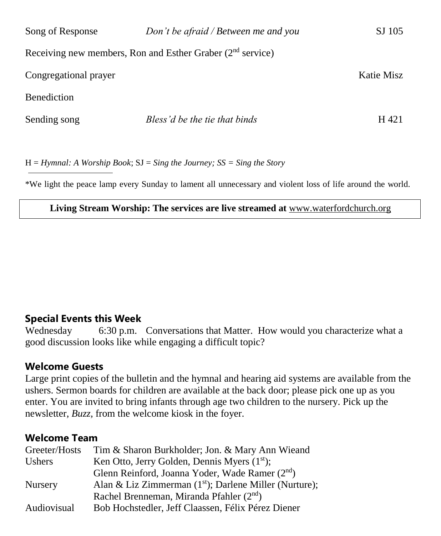| Song of Response      | Don't be afraid / Between me and you                         | SJ 105     |
|-----------------------|--------------------------------------------------------------|------------|
|                       | Receiving new members, Ron and Esther Graber $(2nd$ service) |            |
| Congregational prayer |                                                              | Katie Misz |
| <b>Benediction</b>    |                                                              |            |
| Sending song          | Bless'd be the tie that binds                                | H 421      |

H = *Hymnal: A Worship Book*; SJ = *Sing the Journey; SS = Sing the Story*

\*We light the peace lamp every Sunday to lament all unnecessary and violent loss of life around the world.

#### **Living Stream Worship: The services are live streamed at** [www.waterfordchurch.org](http://www.waterfordchurch.org/)

#### **Special Events this Week**

Wednesday 6:30 p.m. Conversations that Matter. How would you characterize what a good discussion looks like while engaging a difficult topic?

#### **Welcome Guests**

Large print copies of the bulletin and the hymnal and hearing aid systems are available from the ushers. Sermon boards for children are available at the back door; please pick one up as you enter. You are invited to bring infants through age two children to the nursery. Pick up the newsletter, *Buzz,* from the welcome kiosk in the foyer.

#### **Welcome Team**

| Greeter/Hosts  | Tim & Sharon Burkholder; Jon. & Mary Ann Wieand             |
|----------------|-------------------------------------------------------------|
| <b>Ushers</b>  | Ken Otto, Jerry Golden, Dennis Myers $(1st)$ ;              |
|                | Glenn Reinford, Joanna Yoder, Wade Ramer (2 <sup>nd</sup> ) |
| <b>Nursery</b> | Alan & Liz Zimmerman $(1st)$ ; Darlene Miller (Nurture);    |
|                | Rachel Brenneman, Miranda Pfahler (2 <sup>nd</sup> )        |
| Audiovisual    | Bob Hochstedler, Jeff Claassen, Félix Pérez Diener          |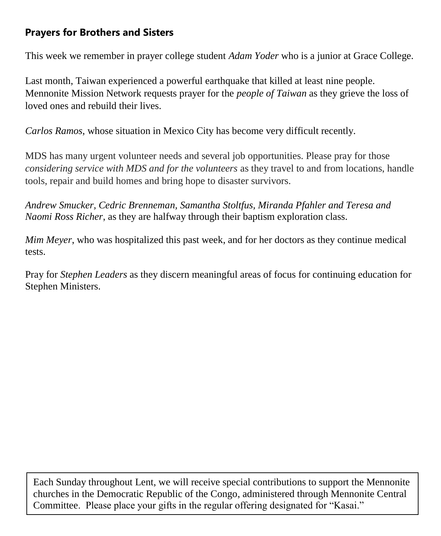## **Prayers for Brothers and Sisters**

This week we remember in prayer college student *Adam Yoder* who is a junior at Grace College.

Last month, Taiwan experienced a powerful earthquake that killed at least nine people. Mennonite Mission Network requests prayer for the *people of Taiwan* as they grieve the loss of loved ones and rebuild their lives.

*Carlos Ramos*, whose situation in Mexico City has become very difficult recently.

MDS has many urgent volunteer needs and several job opportunities. Please pray for those *considering service with MDS and for the volunteers* as they travel to and from locations, handle tools, repair and build homes and bring hope to disaster survivors.

*Andrew Smucker, Cedric Brenneman, Samantha Stoltfus, Miranda Pfahler and Teresa and Naomi Ross Richer*, as they are halfway through their baptism exploration class.

*Mim Meyer*, who was hospitalized this past week, and for her doctors as they continue medical tests.

Pray for *Stephen Leaders* as they discern meaningful areas of focus for continuing education for Stephen Ministers.

Each Sunday throughout Lent, we will receive special contributions to support the Mennonite churches in the Democratic Republic of the Congo, administered through Mennonite Central Committee. Please place your gifts in the regular offering designated for "Kasai."